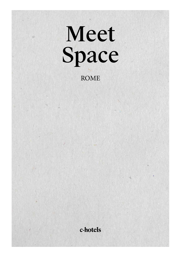# Meet Space ROME

#### c-hotels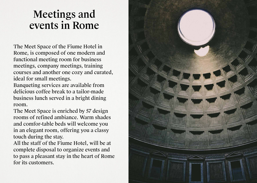## Meetings and events in Rome

The Meet Space of the Fiume Hotel in Rome, is composed of one modern and functional meeting room for business meetings, company meetings, training courses and another one cozy and curated, ideal for small meetings.

Banqueting services are available from delicious coffee break to a tailor-made business lunch served in a bright dining room.

The Meet Space is enriched by 57 design rooms of refined ambiance. Warm shades and comfor-table beds will welcome you in an elegant room, offering you a classy touch during the stay.

All the staff of the Fiume Hotel, will be at complete disposal to organize events and to pass a pleasant stay in the heart of Rome for its customers.

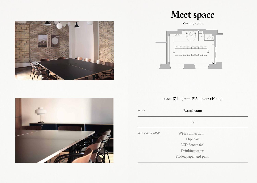





FIRET F caffe | bar  $w.c.$  $\odot$ **MMMMMMMMM** UUUUUUUU

| LENGTH $(7,4 \text{ m})$ width $(5,3 \text{ m})$ area $(40 \text{ mq})$ |                        |  |  |  |
|-------------------------------------------------------------------------|------------------------|--|--|--|
| <b>SET UP</b>                                                           | Boardroom              |  |  |  |
|                                                                         | 12                     |  |  |  |
| SERVICES INCLUDED                                                       | Wi-fi connection       |  |  |  |
|                                                                         | Flipchart              |  |  |  |
|                                                                         | LCD Screen 60"         |  |  |  |
|                                                                         | Drinking water         |  |  |  |
|                                                                         | Folder, paper and pens |  |  |  |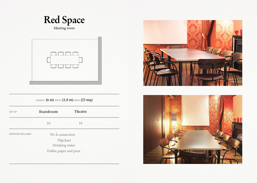

| MMMM<br>UUUU |
|--------------|
|--------------|

| <b>SET UP</b>     | Boardroom              | Theatre |  |
|-------------------|------------------------|---------|--|
|                   | 10                     | 16      |  |
| SERVICES INCLUDED | Wi-fi connection       |         |  |
|                   | Flipchart              |         |  |
|                   | Drinking water         |         |  |
|                   | Folder, paper and pens |         |  |
|                   |                        |         |  |

LENGTH  $(6 \text{ m})$  width  $(3, 8 \text{ m})$  area  $(23 \text{ m})$ 



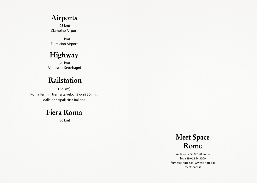### **Airports**

(25 km) Ciampino Airport

(35 km) Fiumicino Airport

**Highway** 

(20 km) A1 - uscita Settebagni

## **Railstation**

(1,5 km) Roma Termini treni alta velocità ogni 30 min. dalle principali città italiane

### **Fiera Roma**

(30 km)



Via Brescia, 5 - 00198 Rome Tel. +39 06 854 3000 fiume@c-hotels.it - www.c-hotels.it meetspace.it